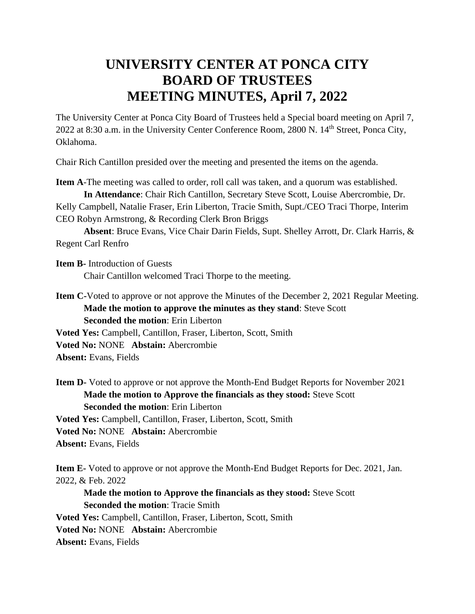## **UNIVERSITY CENTER AT PONCA CITY BOARD OF TRUSTEES MEETING MINUTES, April 7, 2022**

The University Center at Ponca City Board of Trustees held a Special board meeting on April 7, 2022 at 8:30 a.m. in the University Center Conference Room, 2800 N. 14<sup>th</sup> Street, Ponca City, Oklahoma.

Chair Rich Cantillon presided over the meeting and presented the items on the agenda.

**Item A**-The meeting was called to order, roll call was taken, and a quorum was established.

**In Attendance**: Chair Rich Cantillon, Secretary Steve Scott, Louise Abercrombie, Dr. Kelly Campbell, Natalie Fraser, Erin Liberton, Tracie Smith, Supt./CEO Traci Thorpe, Interim CEO Robyn Armstrong, & Recording Clerk Bron Briggs

**Absent**: Bruce Evans, Vice Chair Darin Fields, Supt. Shelley Arrott, Dr. Clark Harris, & Regent Carl Renfro

**Item B-** Introduction of Guests Chair Cantillon welcomed Traci Thorpe to the meeting.

**Item C-**Voted to approve or not approve the Minutes of the December 2, 2021 Regular Meeting. **Made the motion to approve the minutes as they stand**: Steve Scott **Seconded the motion**: Erin Liberton

**Voted Yes:** Campbell, Cantillon, Fraser, Liberton, Scott, Smith

**Voted No:** NONE **Abstain:** Abercrombie

**Absent:** Evans, Fields

**Item D-** Voted to approve or not approve the Month-End Budget Reports for November 2021 **Made the motion to Approve the financials as they stood:** Steve Scott **Seconded the motion**: Erin Liberton **Voted Yes:** Campbell, Cantillon, Fraser, Liberton, Scott, Smith **Voted No:** NONE **Abstain:** Abercrombie

**Absent:** Evans, Fields

**Item E-** Voted to approve or not approve the Month-End Budget Reports for Dec. 2021, Jan. 2022, & Feb. 2022

**Made the motion to Approve the financials as they stood:** Steve Scott **Seconded the motion**: Tracie Smith **Voted Yes:** Campbell, Cantillon, Fraser, Liberton, Scott, Smith **Voted No:** NONE **Abstain:** Abercrombie **Absent:** Evans, Fields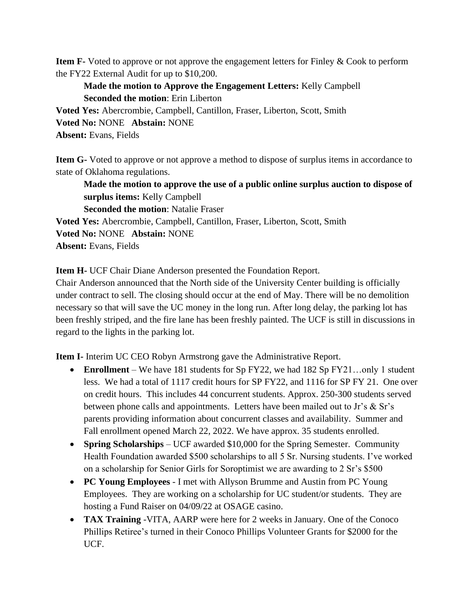**Item F-** Voted to approve or not approve the engagement letters for Finley & Cook to perform the FY22 External Audit for up to \$10,200.

## **Made the motion to Approve the Engagement Letters:** Kelly Campbell **Seconded the motion**: Erin Liberton

**Voted Yes:** Abercrombie, Campbell, Cantillon, Fraser, Liberton, Scott, Smith **Voted No:** NONE **Abstain:** NONE **Absent:** Evans, Fields

**Item G-** Voted to approve or not approve a method to dispose of surplus items in accordance to state of Oklahoma regulations.

**Made the motion to approve the use of a public online surplus auction to dispose of surplus items:** Kelly Campbell **Seconded the motion**: Natalie Fraser **Voted Yes:** Abercrombie, Campbell, Cantillon, Fraser, Liberton, Scott, Smith **Voted No:** NONE **Abstain:** NONE

**Absent:** Evans, Fields

**Item H-** UCF Chair Diane Anderson presented the Foundation Report.

Chair Anderson announced that the North side of the University Center building is officially under contract to sell. The closing should occur at the end of May. There will be no demolition necessary so that will save the UC money in the long run. After long delay, the parking lot has been freshly striped, and the fire lane has been freshly painted. The UCF is still in discussions in regard to the lights in the parking lot.

**Item I-** Interim UC CEO Robyn Armstrong gave the Administrative Report.

- **Enrollment** We have 181 students for Sp FY22, we had 182 Sp FY21…only 1 student less. We had a total of 1117 credit hours for SP FY22, and 1116 for SP FY 21. One over on credit hours. This includes 44 concurrent students. Approx. 250-300 students served between phone calls and appointments. Letters have been mailed out to Jr's & Sr's parents providing information about concurrent classes and availability. Summer and Fall enrollment opened March 22, 2022. We have approx. 35 students enrolled.
- **Spring Scholarships** UCF awarded \$10,000 for the Spring Semester. Community Health Foundation awarded \$500 scholarships to all 5 Sr. Nursing students. I've worked on a scholarship for Senior Girls for Soroptimist we are awarding to 2 Sr's \$500
- **PC Young Employees** I met with Allyson Brumme and Austin from PC Young Employees. They are working on a scholarship for UC student/or students. They are hosting a Fund Raiser on 04/09/22 at OSAGE casino.
- **TAX Training** -VITA, AARP were here for 2 weeks in January. One of the Conoco Phillips Retiree's turned in their Conoco Phillips Volunteer Grants for \$2000 for the UCF.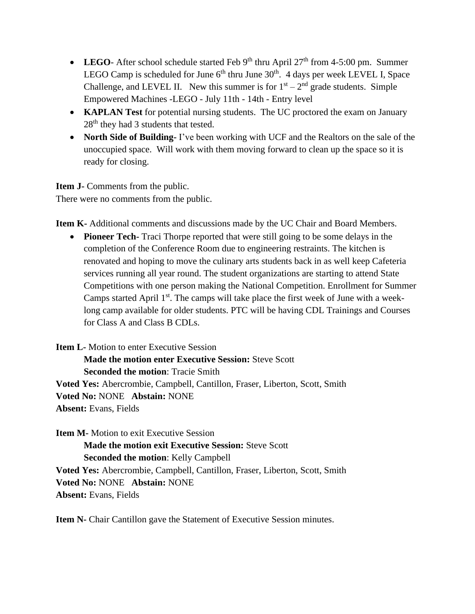- **LEGO** After school schedule started Feb  $9<sup>th</sup>$  thru April  $27<sup>th</sup>$  from 4-5:00 pm. Summer LEGO Camp is scheduled for June  $6<sup>th</sup>$  thru June  $30<sup>th</sup>$ . 4 days per week LEVEL I, Space Challenge, and LEVEL II. New this summer is for  $1<sup>st</sup> - 2<sup>nd</sup>$  grade students. Simple Empowered Machines -LEGO - July 11th - 14th - Entry level
- **KAPLAN Test** for potential nursing students. The UC proctored the exam on January 28<sup>th</sup> they had 3 students that tested.
- **North Side of Building-** I've been working with UCF and the Realtors on the sale of the unoccupied space. Will work with them moving forward to clean up the space so it is ready for closing.

**Item J-** Comments from the public. There were no comments from the public.

**Item K-** Additional comments and discussions made by the UC Chair and Board Members.

• **Pioneer Tech-** Traci Thorpe reported that were still going to be some delays in the completion of the Conference Room due to engineering restraints. The kitchen is renovated and hoping to move the culinary arts students back in as well keep Cafeteria services running all year round. The student organizations are starting to attend State Competitions with one person making the National Competition. Enrollment for Summer Camps started April  $1<sup>st</sup>$ . The camps will take place the first week of June with a weeklong camp available for older students. PTC will be having CDL Trainings and Courses for Class A and Class B CDLs.

**Item L-** Motion to enter Executive Session **Made the motion enter Executive Session:** Steve Scott **Seconded the motion**: Tracie Smith **Voted Yes:** Abercrombie, Campbell, Cantillon, Fraser, Liberton, Scott, Smith **Voted No:** NONE **Abstain:** NONE **Absent:** Evans, Fields

**Item M-** Motion to exit Executive Session **Made the motion exit Executive Session:** Steve Scott **Seconded the motion**: Kelly Campbell **Voted Yes:** Abercrombie, Campbell, Cantillon, Fraser, Liberton, Scott, Smith **Voted No:** NONE **Abstain:** NONE **Absent:** Evans, Fields

**Item N-** Chair Cantillon gave the Statement of Executive Session minutes.